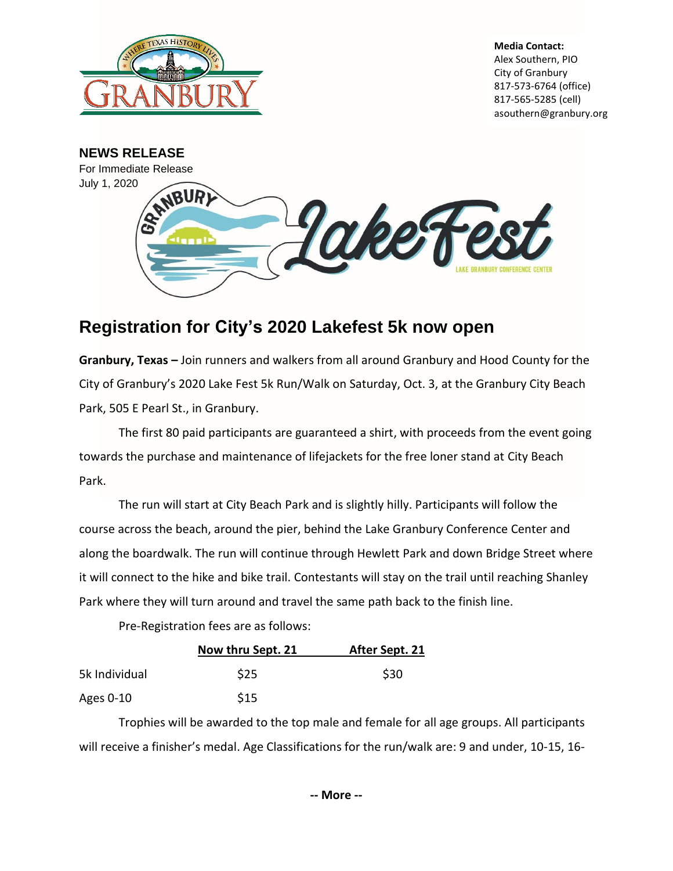

**Media Contact:** Alex Southern, PIO City of Granbury 817-573-6764 (office) 817-565-5285 (cell) asouthern@granbury.org



## **Registration for City's 2020 Lakefest 5k now open**

**Granbury, Texas –** Join runners and walkers from all around Granbury and Hood County for the City of Granbury's 2020 Lake Fest 5k Run/Walk on Saturday, Oct. 3, at the Granbury City Beach Park, 505 E Pearl St., in Granbury.

The first 80 paid participants are guaranteed a shirt, with proceeds from the event going towards the purchase and maintenance of lifejackets for the free loner stand at City Beach Park.

The run will start at City Beach Park and is slightly hilly. Participants will follow the course across the beach, around the pier, behind the Lake Granbury Conference Center and along the boardwalk. The run will continue through Hewlett Park and down Bridge Street where it will connect to the hike and bike trail. Contestants will stay on the trail until reaching Shanley Park where they will turn around and travel the same path back to the finish line.

Pre-Registration fees are as follows:

|               | Now thru Sept. 21 | After Sept. 21 |
|---------------|-------------------|----------------|
| 5k Individual | \$25              | \$30           |
| Ages 0-10     | \$15              |                |

Trophies will be awarded to the top male and female for all age groups. All participants will receive a finisher's medal. Age Classifications for the run/walk are: 9 and under, 10-15, 16